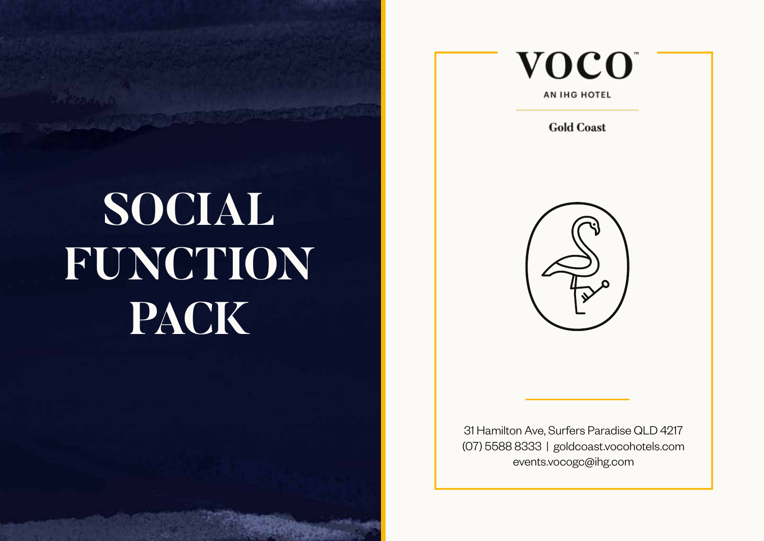# **SOCIAL FUNCTION PACK**

 $10.255011.101$ 



**AN IHG HOTEL** 

**Gold Coast** 



31 Hamilton Ave, Surfers Paradise QLD 4217 (07) 5588 8333 | goldcoast.vocohotels.com events.vocogc@ihg.com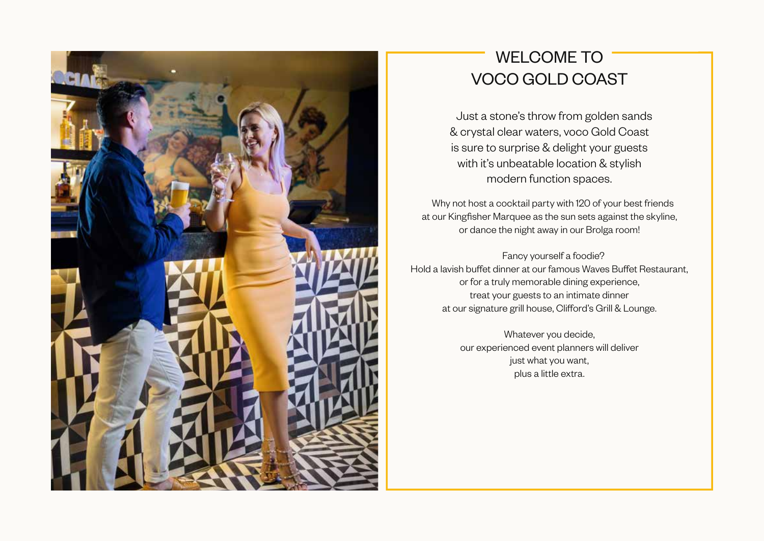

## WELCOME TO VOCO GOLD COAST

 Just a stone's throw from golden sands & crystal clear waters, voco Gold Coast is sure to surprise & delight your guests with it's unbeatable location & stylish modern function spaces.

 Why not host a cocktail party with 120 of your best friends at our Kingfisher Marquee as the sun sets against the skyline, or dance the night away in our Brolga room!

 Fancy yourself a foodie? Hold a lavish buffet dinner at our famous Waves Buffet Restaurant, or for a truly memorable dining experience, treat your guests to an intimate dinner at our signature grill house, Clifford's Grill & Lounge.

> Whatever you decide, our experienced event planners will deliver just what you want, plus a little extra.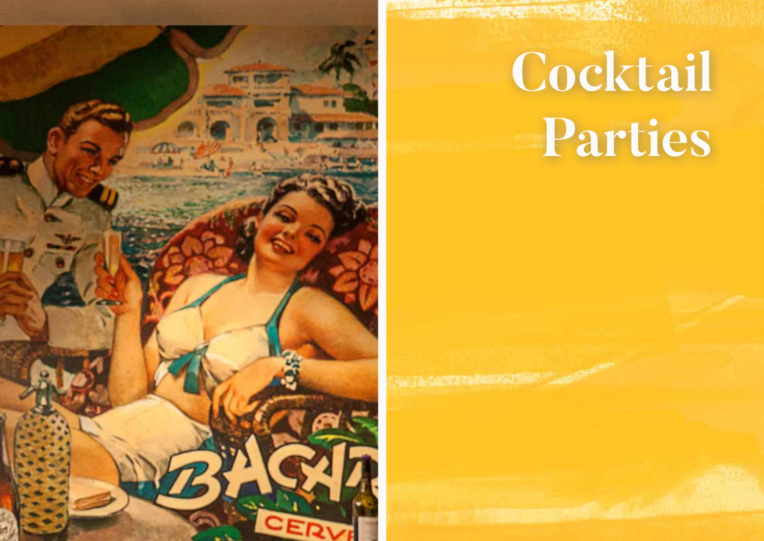

一定 医皮肤皮质 计数据分类 网络

# **Cocktail Parties**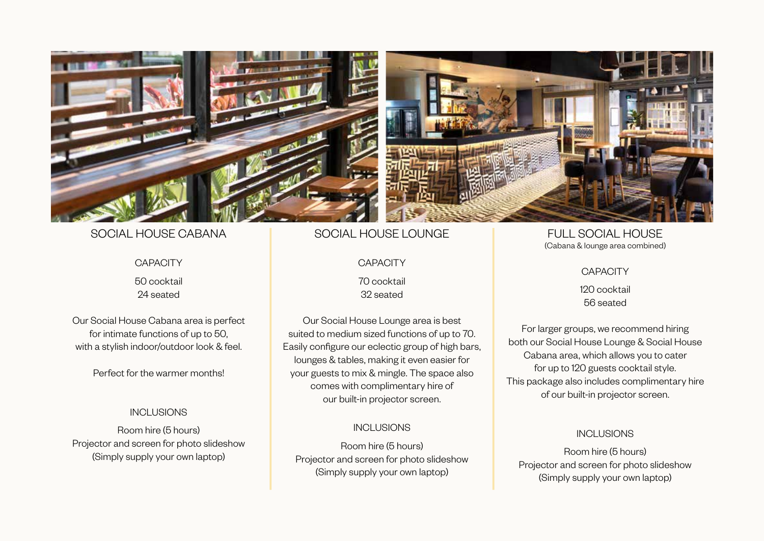

### SOCIAL HOUSE CABANA

#### **CAPACITY**

50 cocktail 24 seated

Our Social House Cabana area is perfect for intimate functions of up to 50, with a stylish indoor/outdoor look & feel.

Perfect for the warmer months!

### INCLUSIONS

Room hire (5 hours) Projector and screen for photo slideshow (Simply supply your own laptop)

### SOCIAL HOUSE LOUNGE

#### **CAPACITY**

70 cocktail 32 seated

Our Social House Lounge area is best suited to medium sized functions of up to 70. Easily configure our eclectic group of high bars, lounges & tables, making it even easier for your guests to mix & mingle. The space also comes with complimentary hire of our built-in projector screen.

### INCLUSIONS

Room hire (5 hours) Projector and screen for photo slideshow (Simply supply your own laptop)

FULL SOCIAL HOUSE (Cabana & lounge area combined)

#### **CAPACITY**

120 cocktail 56 seated

For larger groups, we recommend hiring both our Social House Lounge & Social House Cabana area, which allows you to cater for up to 120 guests cocktail style. This package also includes complimentary hire of our built-in projector screen.

### **INCLUSIONS**

Room hire (5 hours) Projector and screen for photo slideshow (Simply supply your own laptop)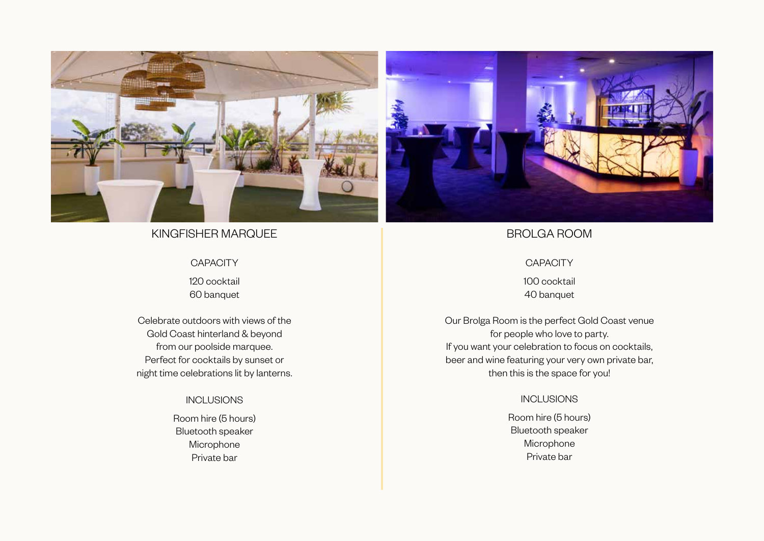

### KINGFISHER MARQUEE

### **CAPACITY**

120 cocktail 60 banquet

Celebrate outdoors with views of the Gold Coast hinterland & beyond from our poolside marquee. Perfect for cocktails by sunset or night time celebrations lit by lanterns.

### INCLUSIONS

Room hire (5 hours) Bluetooth speaker Microphone Private bar



### BROLGA ROOM

### **CAPACITY**

100 cocktail 40 banquet

Our Brolga Room is the perfect Gold Coast venue for people who love to party. If you want your celebration to focus on cocktails, beer and wine featuring your very own private bar, then this is the space for you!

### INCLUSIONS

Room hire (5 hours) Bluetooth speaker Microphone Private bar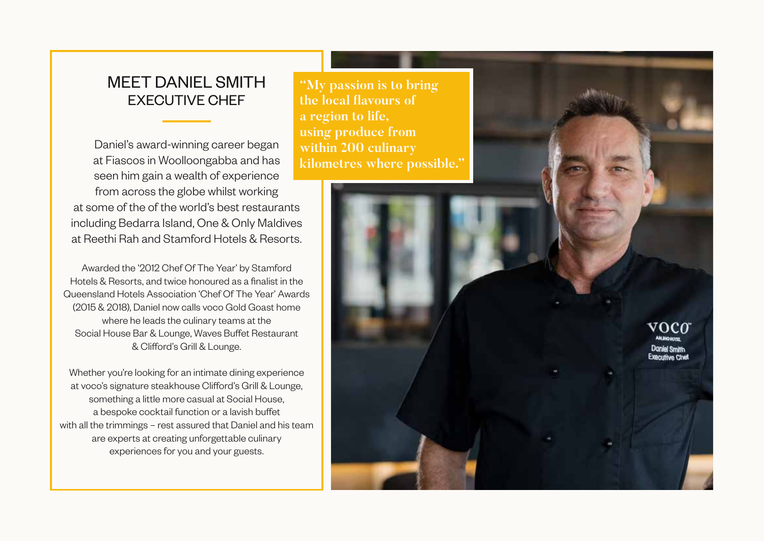### EXECUTIVE CHEF MEET DANIEL SMITH **"My passion is to bring**

Daniel's award-winning career began at Fiascos in Woolloongabba and has seen him gain a wealth of experience from across the globe whilst working at some of the of the world's best restaurants including Bedarra Island, One & Only Maldives at Reethi Rah and Stamford Hotels & Resorts.

Awarded the '2012 Chef Of The Year' by Stamford Hotels & Resorts, and twice honoured as a finalist in the Queensland Hotels Association 'Chef Of The Year' Awards (2015 & 2018), Daniel now calls voco Gold Goast home where he leads the culinary teams at the Social House Bar & Lounge, Waves Buffet Restaurant & Clifford's Grill & Lounge.

Whether you're looking for an intimate dining experience at voco's signature steakhouse Clifford's Grill & Lounge, something a little more casual at Social House, a bespoke cocktail function or a lavish buffet with all the trimmings – rest assured that Daniel and his team are experts at creating unforgettable culinary experiences for you and your guests.

**the local flavours of a region to life, using produce from within 200 culinary kilometres where possible."**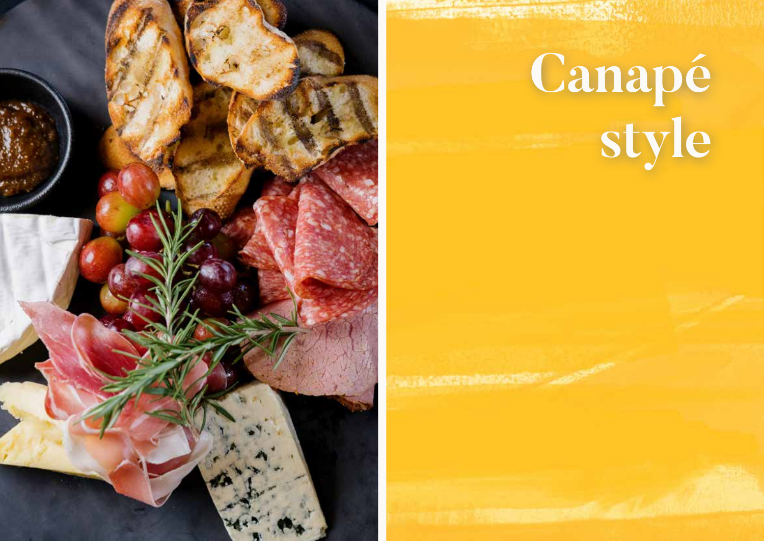

# **Canapé style**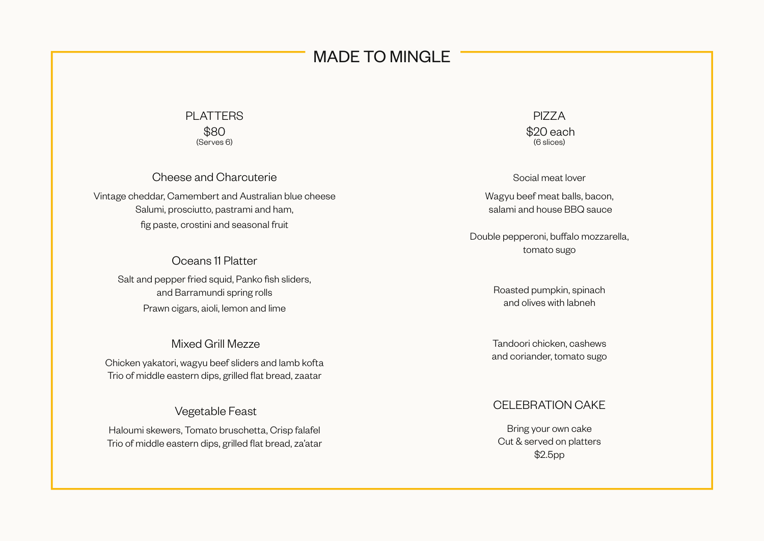### MADE TO MINGLE

### PLATTERS \$80 (Serves 6)

Cheese and Charcuterie

Vintage cheddar, Camembert and Australian blue cheese Salumi, prosciutto, pastrami and ham, fig paste, crostini and seasonal fruit

> Oceans 11 Platter Salt and pepper fried squid, Panko fish sliders, and Barramundi spring rolls Prawn cigars, aioli, lemon and lime

### Mixed Grill Mezze

Chicken yakatori, wagyu beef sliders and lamb kofta Trio of middle eastern dips, grilled flat bread, zaatar

### Vegetable Feast

Haloumi skewers, Tomato bruschetta, Crisp falafel Trio of middle eastern dips, grilled flat bread, za'atar

PIZZA \$20 each (6 slices)

Social meat lover

Wagyu beef meat balls, bacon, salami and house BBQ sauce

Double pepperoni, buffalo mozzarella, tomato sugo

> Roasted pumpkin, spinach and olives with labneh

Tandoori chicken, cashews and coriander, tomato sugo

### CELEBRATION CAKE

Bring your own cake Cut & served on platters \$2.5pp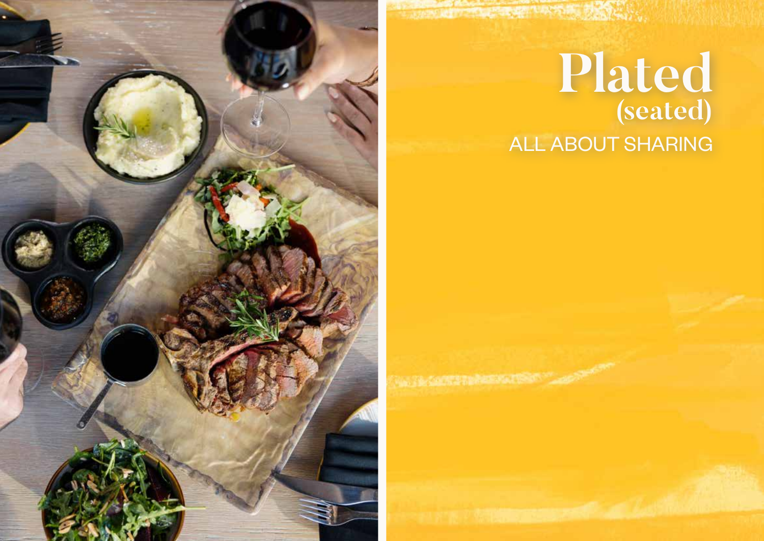

A PARTIES OF THE PARTIES OF THE PARTIES.

# **Plated (seated)** ALL ABOUT SHARING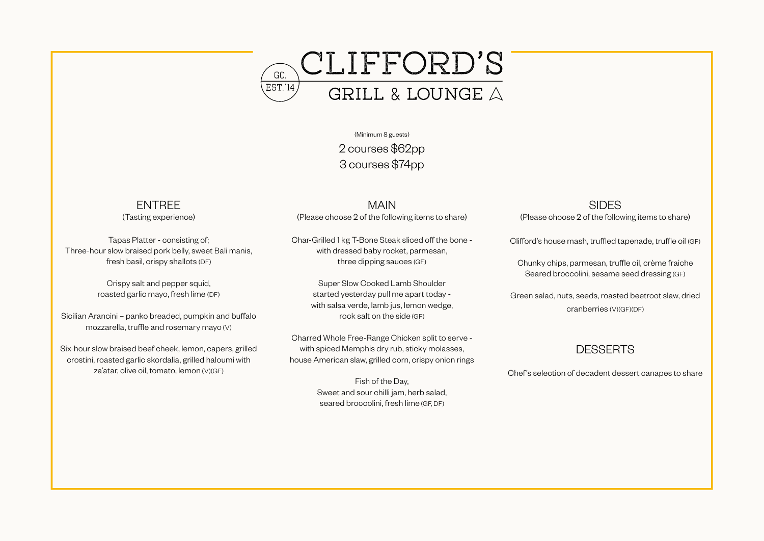

(Minimum 8 guests) 2 courses \$62pp 3 courses \$74pp

### ENTREE

(Tasting experience)

Tapas Platter - consisting of; Three-hour slow braised pork belly, sweet Bali manis, fresh basil, crispy shallots (DF)

> Crispy salt and pepper squid, roasted garlic mayo, fresh lime (DF)

Sicilian Arancini – panko breaded, pumpkin and buffalo mozzarella, truffle and rosemary mayo (V)

Six-hour slow braised beef cheek, lemon, capers, grilled crostini, roasted garlic skordalia, grilled haloumi with za'atar, olive oil, tomato, lemon (V)(GF)

MAIN (Please choose 2 of the following items to share)

Char-Grilled 1 kg T-Bone Steak sliced off the bone with dressed baby rocket, parmesan, three dipping sauces (GF)

> Super Slow Cooked Lamb Shoulder started yesterday pull me apart today with salsa verde, lamb jus, lemon wedge, rock salt on the side (GF)

Charred Whole Free-Range Chicken split to serve with spiced Memphis dry rub, sticky molasses, house American slaw, grilled corn, crispy onion rings

> Fish of the Day, Sweet and sour chilli jam, herb salad, seared broccolini, fresh lime (GF, DF)

**SIDES** 

(Please choose 2 of the following items to share)

Clifford's house mash, truffled tapenade, truffle oil (GF)

Chunky chips, parmesan, truffle oil, crème fraiche Seared broccolini, sesame seed dressing (GF)

Green salad, nuts, seeds, roasted beetroot slaw, dried cranberries (V)(GF)(DF)

### **DESSERTS**

Chef's selection of decadent dessert canapes to share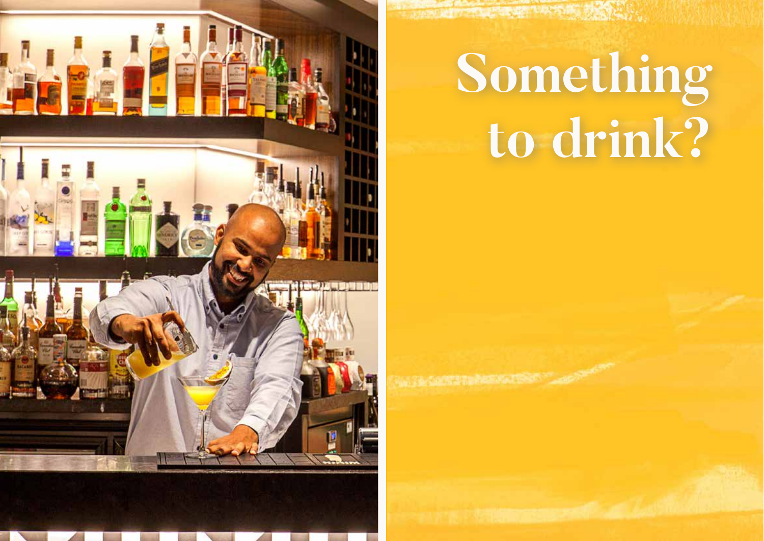

# **Something to drink?**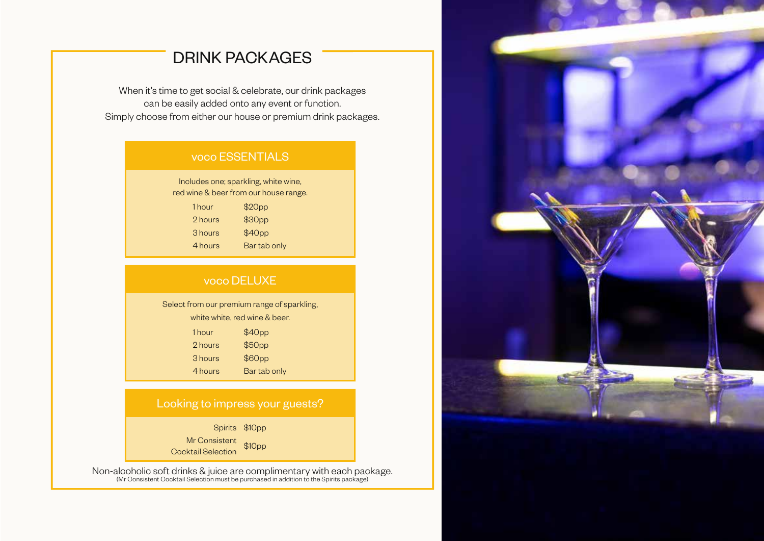## DRINK PACKAGES

When it's time to get social & celebrate, our drink packages can be easily added onto any event or function. Simply choose from either our house or premium drink packages.

### Includes one; sparkling, white wine, red wine & beer from our house range. 1 hour \$20pp 2 hours \$30pp 3 hours \$40pp 4 hours Bar tab only voco ESSENTIALS

### voco DELUXE

Select from our premium range of sparkling, white white, red wine & beer.

| 1 hour  | \$40pp             |
|---------|--------------------|
| 2 hours | \$50 <sub>pp</sub> |
| 3 hours | \$60 <sub>pp</sub> |
| 4 hours | Bar tab only       |

### Looking to impress your guests?

Spirits \$10pp

Mr Consistent wir Consistent<br>Cocktail Selection

Non-alcoholic soft drinks & juice are complimentary with each package. (Mr Consistent Cocktail Selection must be purchased in addition to the Spirits package)